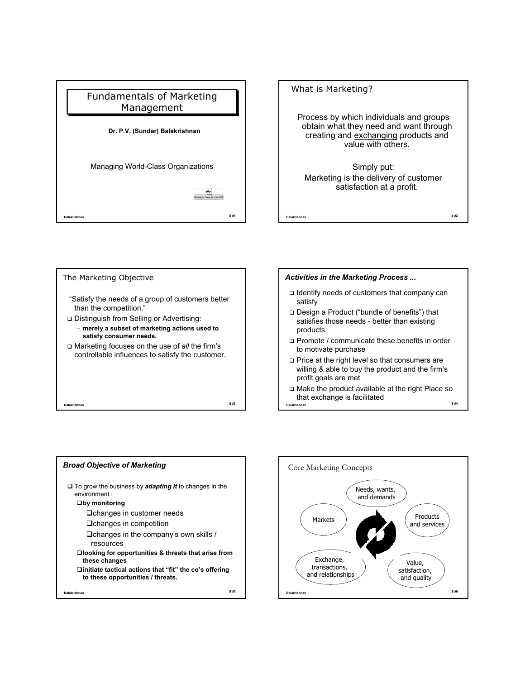









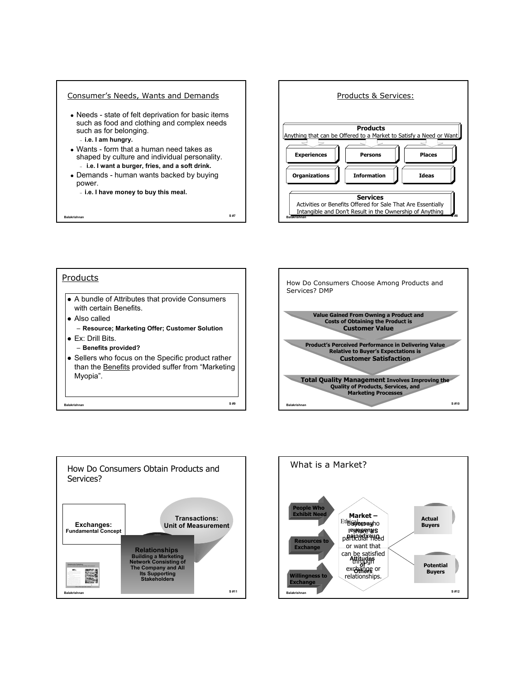

| Products                                                                                                          |      |
|-------------------------------------------------------------------------------------------------------------------|------|
| $\bullet$ A bundle of Attributes that provide Consumers<br>with certain Benefits.                                 |      |
| $\bullet$ Also called                                                                                             |      |
| - Resource; Marketing Offer; Customer Solution                                                                    |      |
| $\blacktriangleright$ Fx: Drill Bits.                                                                             |      |
| - Benefits provided?                                                                                              |      |
| Sellers who focus on the Specific product rather<br>than the Benefits provided suffer from "Marketing<br>Myopia". |      |
| <b>Balakrishnan</b>                                                                                               | S #9 |





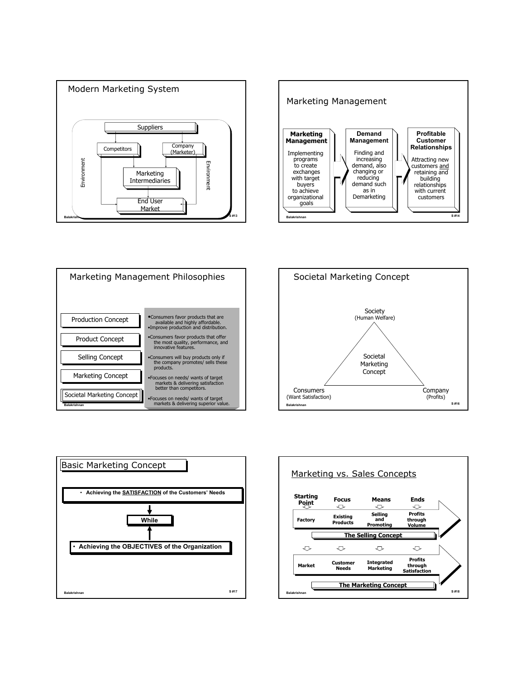









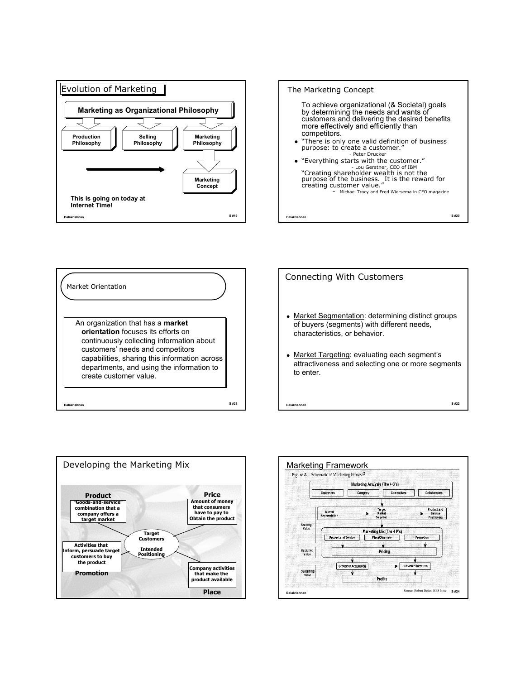









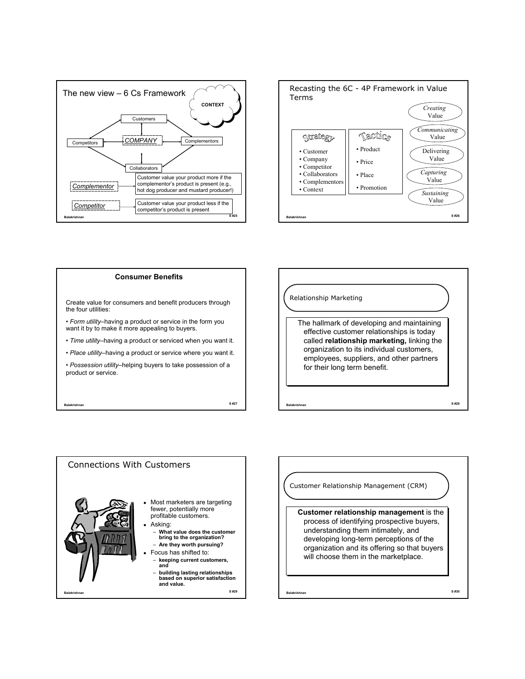



## **Consumer Benefits**

Create value for consumers and benefit producers through the four utilities:

• *Form utility*–having a product or service in the form you want it by to make it more appealing to buyers.

• *Time utility*–having a product or serviced when you want it.

• *Place utility*–having a product or service where you want it.

• *Possession utility*–helping buyers to take possession of a product or service.

**Balakrishnan S #27**